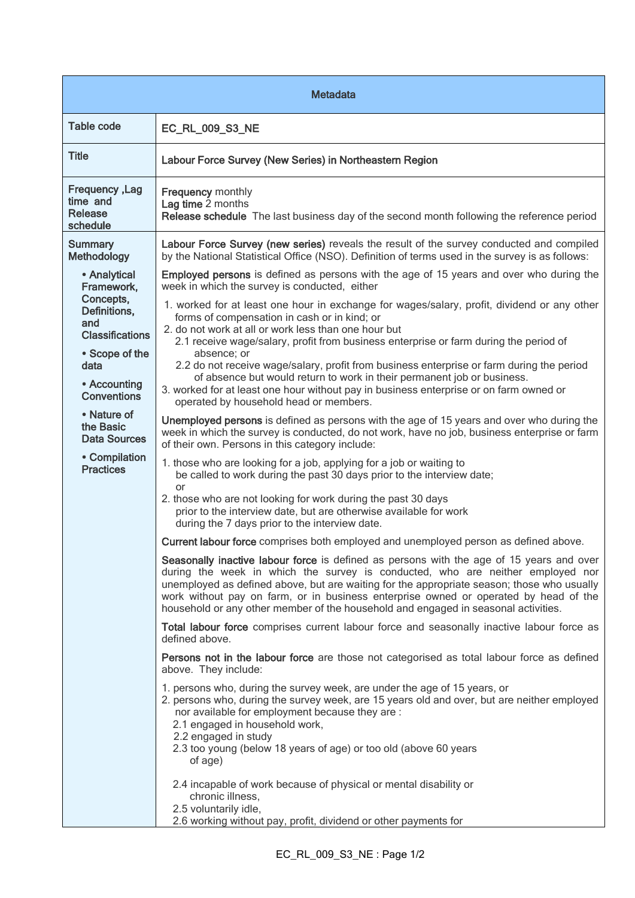| <b>Metadata</b>                                                                                            |                                                                                                                                                                                                                                                                                                                                                                                                                                                        |
|------------------------------------------------------------------------------------------------------------|--------------------------------------------------------------------------------------------------------------------------------------------------------------------------------------------------------------------------------------------------------------------------------------------------------------------------------------------------------------------------------------------------------------------------------------------------------|
| <b>Table code</b>                                                                                          | EC_RL_009_S3_NE                                                                                                                                                                                                                                                                                                                                                                                                                                        |
| <b>Title</b>                                                                                               | Labour Force Survey (New Series) in Northeastern Region                                                                                                                                                                                                                                                                                                                                                                                                |
| Frequency, Lag<br>time and<br>Release<br>schedule                                                          | <b>Frequency monthly</b><br>Lag time 2 months<br>Release schedule The last business day of the second month following the reference period                                                                                                                                                                                                                                                                                                             |
| <b>Summary</b><br>Methodology                                                                              | Labour Force Survey (new series) reveals the result of the survey conducted and compiled<br>by the National Statistical Office (NSO). Definition of terms used in the survey is as follows:                                                                                                                                                                                                                                                            |
| • Analytical<br>Framework.<br>Concepts,<br>Definitions,<br>and<br><b>Classifications</b><br>• Scope of the | <b>Employed persons</b> is defined as persons with the age of 15 years and over who during the<br>week in which the survey is conducted, either                                                                                                                                                                                                                                                                                                        |
|                                                                                                            | 1. worked for at least one hour in exchange for wages/salary, profit, dividend or any other<br>forms of compensation in cash or in kind; or<br>2. do not work at all or work less than one hour but<br>2.1 receive wage/salary, profit from business enterprise or farm during the period of<br>absence; or                                                                                                                                            |
| data<br>• Accounting<br><b>Conventions</b>                                                                 | 2.2 do not receive wage/salary, profit from business enterprise or farm during the period<br>of absence but would return to work in their permanent job or business.<br>3. worked for at least one hour without pay in business enterprise or on farm owned or<br>operated by household head or members.                                                                                                                                               |
| • Nature of<br>the Basic<br><b>Data Sources</b><br>• Compilation<br><b>Practices</b>                       | Unemployed persons is defined as persons with the age of 15 years and over who during the<br>week in which the survey is conducted, do not work, have no job, business enterprise or farm<br>of their own. Persons in this category include:                                                                                                                                                                                                           |
|                                                                                                            | 1. those who are looking for a job, applying for a job or waiting to<br>be called to work during the past 30 days prior to the interview date;                                                                                                                                                                                                                                                                                                         |
|                                                                                                            | or<br>2. those who are not looking for work during the past 30 days<br>prior to the interview date, but are otherwise available for work<br>during the 7 days prior to the interview date.                                                                                                                                                                                                                                                             |
|                                                                                                            | Current labour force comprises both employed and unemployed person as defined above.                                                                                                                                                                                                                                                                                                                                                                   |
|                                                                                                            | Seasonally inactive labour force is defined as persons with the age of 15 years and over<br>during the week in which the survey is conducted, who are neither employed nor<br>unemployed as defined above, but are waiting for the appropriate season; those who usually<br>work without pay on farm, or in business enterprise owned or operated by head of the<br>household or any other member of the household and engaged in seasonal activities. |
|                                                                                                            | Total labour force comprises current labour force and seasonally inactive labour force as<br>defined above.                                                                                                                                                                                                                                                                                                                                            |
|                                                                                                            | Persons not in the labour force are those not categorised as total labour force as defined<br>above. They include:                                                                                                                                                                                                                                                                                                                                     |
|                                                                                                            | 1. persons who, during the survey week, are under the age of 15 years, or<br>2. persons who, during the survey week, are 15 years old and over, but are neither employed<br>nor available for employment because they are :<br>2.1 engaged in household work,<br>2.2 engaged in study<br>2.3 too young (below 18 years of age) or too old (above 60 years<br>of age)                                                                                   |
|                                                                                                            | 2.4 incapable of work because of physical or mental disability or<br>chronic illness,<br>2.5 voluntarily idle,<br>2.6 working without pay, profit, dividend or other payments for                                                                                                                                                                                                                                                                      |